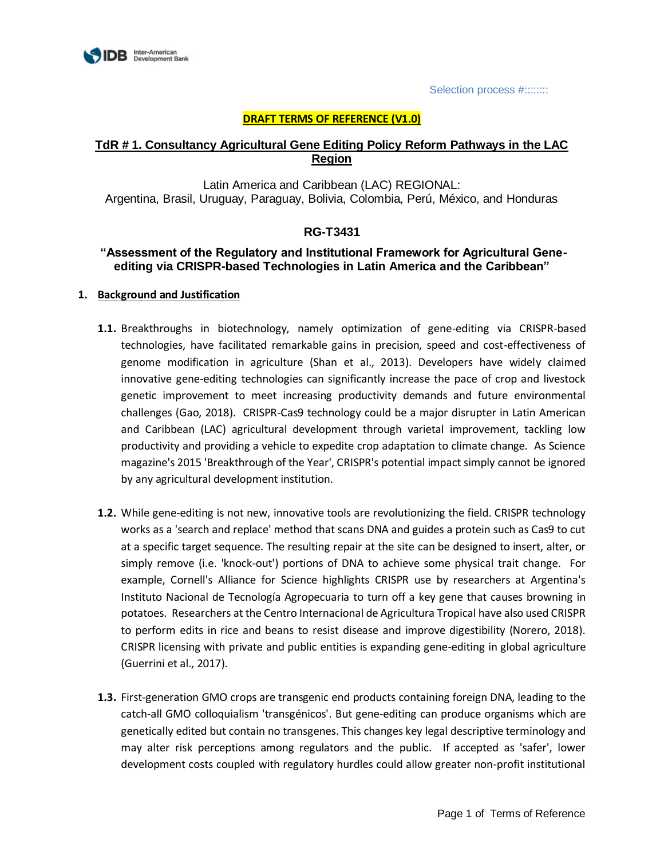

Selection process #::::::::

## **DRAFT TERMS OF REFERENCE (V1.0)**

# **TdR # 1. Consultancy Agricultural Gene Editing Policy Reform Pathways in the LAC Region**

Latin America and Caribbean (LAC) REGIONAL: Argentina, Brasil, Uruguay, Paraguay, Bolivia, Colombia, Perú, México, and Honduras

# **RG-T3431**

# **"Assessment of the Regulatory and Institutional Framework for Agricultural Geneediting via CRISPR-based Technologies in Latin America and the Caribbean"**

#### **1. Background and Justification**

- **1.1.** Breakthroughs in biotechnology, namely optimization of gene-editing via CRISPR-based technologies, have facilitated remarkable gains in precision, speed and cost-effectiveness of genome modification in agriculture (Shan et al., 2013). Developers have widely claimed innovative gene-editing technologies can significantly increase the pace of crop and livestock genetic improvement to meet increasing productivity demands and future environmental challenges (Gao, 2018). CRISPR-Cas9 technology could be a major disrupter in Latin American and Caribbean (LAC) agricultural development through varietal improvement, tackling low productivity and providing a vehicle to expedite crop adaptation to climate change. As Science magazine's 2015 'Breakthrough of the Year', CRISPR's potential impact simply cannot be ignored by any agricultural development institution.
- **1.2.** While gene-editing is not new, innovative tools are revolutionizing the field. CRISPR technology works as a 'search and replace' method that scans DNA and guides a protein such as Cas9 to cut at a specific target sequence. The resulting repair at the site can be designed to insert, alter, or simply remove (i.e. 'knock-out') portions of DNA to achieve some physical trait change. For example, Cornell's Alliance for Science highlights CRISPR use by researchers at Argentina's Instituto Nacional de Tecnología Agropecuaria to turn off a key gene that causes browning in potatoes. Researchers at the Centro Internacional de Agricultura Tropical have also used CRISPR to perform edits in rice and beans to resist disease and improve digestibility (Norero, 2018). CRISPR licensing with private and public entities is expanding gene-editing in global agriculture (Guerrini et al., 2017).
- **1.3.** First-generation GMO crops are transgenic end products containing foreign DNA, leading to the catch-all GMO colloquialism 'transgénicos'. But gene-editing can produce organisms which are genetically edited but contain no transgenes. This changes key legal descriptive terminology and may alter risk perceptions among regulators and the public. If accepted as 'safer', lower development costs coupled with regulatory hurdles could allow greater non-profit institutional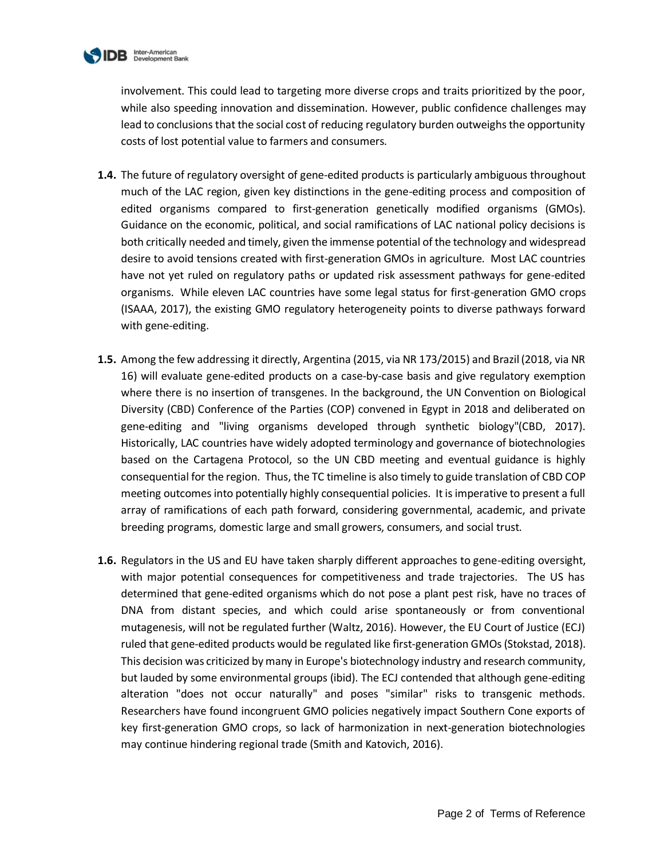

involvement. This could lead to targeting more diverse crops and traits prioritized by the poor, while also speeding innovation and dissemination. However, public confidence challenges may lead to conclusions that the social cost of reducing regulatory burden outweighs the opportunity costs of lost potential value to farmers and consumers.

- **1.4.** The future of regulatory oversight of gene-edited products is particularly ambiguous throughout much of the LAC region, given key distinctions in the gene-editing process and composition of edited organisms compared to first-generation genetically modified organisms (GMOs). Guidance on the economic, political, and social ramifications of LAC national policy decisions is both critically needed and timely, given the immense potential of the technology and widespread desire to avoid tensions created with first-generation GMOs in agriculture. Most LAC countries have not yet ruled on regulatory paths or updated risk assessment pathways for gene-edited organisms. While eleven LAC countries have some legal status for first-generation GMO crops (ISAAA, 2017), the existing GMO regulatory heterogeneity points to diverse pathways forward with gene-editing.
- **1.5.** Among the few addressing it directly, Argentina (2015, via NR 173/2015) and Brazil (2018, via NR 16) will evaluate gene-edited products on a case-by-case basis and give regulatory exemption where there is no insertion of transgenes. In the background, the UN Convention on Biological Diversity (CBD) Conference of the Parties (COP) convened in Egypt in 2018 and deliberated on gene-editing and "living organisms developed through synthetic biology"(CBD, 2017). Historically, LAC countries have widely adopted terminology and governance of biotechnologies based on the Cartagena Protocol, so the UN CBD meeting and eventual guidance is highly consequential for the region. Thus, the TC timeline is also timely to guide translation of CBD COP meeting outcomes into potentially highly consequential policies. It is imperative to present a full array of ramifications of each path forward, considering governmental, academic, and private breeding programs, domestic large and small growers, consumers, and social trust.
- **1.6.** Regulators in the US and EU have taken sharply different approaches to gene-editing oversight, with major potential consequences for competitiveness and trade trajectories. The US has determined that gene-edited organisms which do not pose a plant pest risk, have no traces of DNA from distant species, and which could arise spontaneously or from conventional mutagenesis, will not be regulated further (Waltz, 2016). However, the EU Court of Justice (ECJ) ruled that gene-edited products would be regulated like first-generation GMOs (Stokstad, 2018). This decision was criticized by many in Europe's biotechnology industry and research community, but lauded by some environmental groups (ibid). The ECJ contended that although gene-editing alteration "does not occur naturally" and poses "similar" risks to transgenic methods. Researchers have found incongruent GMO policies negatively impact Southern Cone exports of key first-generation GMO crops, so lack of harmonization in next-generation biotechnologies may continue hindering regional trade (Smith and Katovich, 2016).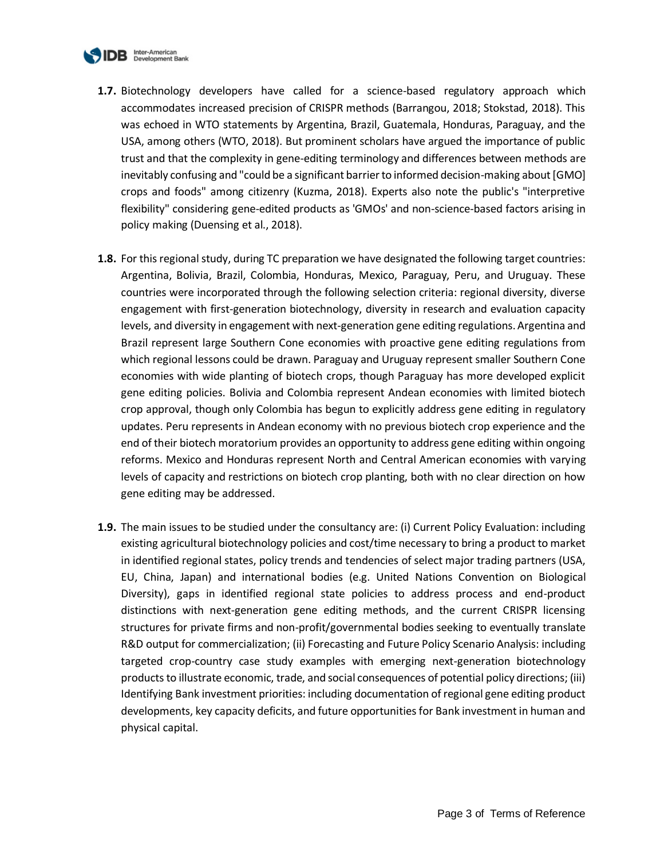

- **1.7.** Biotechnology developers have called for a science-based regulatory approach which accommodates increased precision of CRISPR methods (Barrangou, 2018; Stokstad, 2018). This was echoed in WTO statements by Argentina, Brazil, Guatemala, Honduras, Paraguay, and the USA, among others (WTO, 2018). But prominent scholars have argued the importance of public trust and that the complexity in gene-editing terminology and differences between methods are inevitably confusing and "could be a significant barrier to informed decision-making about [GMO] crops and foods" among citizenry (Kuzma, 2018). Experts also note the public's "interpretive flexibility" considering gene-edited products as 'GMOs' and non-science-based factors arising in policy making (Duensing et al., 2018).
- **1.8.** For this regional study, during TC preparation we have designated the following target countries: Argentina, Bolivia, Brazil, Colombia, Honduras, Mexico, Paraguay, Peru, and Uruguay. These countries were incorporated through the following selection criteria: regional diversity, diverse engagement with first-generation biotechnology, diversity in research and evaluation capacity levels, and diversity in engagement with next-generation gene editing regulations. Argentina and Brazil represent large Southern Cone economies with proactive gene editing regulations from which regional lessons could be drawn. Paraguay and Uruguay represent smaller Southern Cone economies with wide planting of biotech crops, though Paraguay has more developed explicit gene editing policies. Bolivia and Colombia represent Andean economies with limited biotech crop approval, though only Colombia has begun to explicitly address gene editing in regulatory updates. Peru represents in Andean economy with no previous biotech crop experience and the end of their biotech moratorium provides an opportunity to address gene editing within ongoing reforms. Mexico and Honduras represent North and Central American economies with varying levels of capacity and restrictions on biotech crop planting, both with no clear direction on how gene editing may be addressed.
- **1.9.** The main issues to be studied under the consultancy are: (i) Current Policy Evaluation: including existing agricultural biotechnology policies and cost/time necessary to bring a product to market in identified regional states, policy trends and tendencies of select major trading partners (USA, EU, China, Japan) and international bodies (e.g. United Nations Convention on Biological Diversity), gaps in identified regional state policies to address process and end-product distinctions with next-generation gene editing methods, and the current CRISPR licensing structures for private firms and non-profit/governmental bodies seeking to eventually translate R&D output for commercialization; (ii) Forecasting and Future Policy Scenario Analysis: including targeted crop-country case study examples with emerging next-generation biotechnology products to illustrate economic, trade, and social consequences of potential policy directions; (iii) Identifying Bank investment priorities: including documentation of regional gene editing product developments, key capacity deficits, and future opportunities for Bank investment in human and physical capital.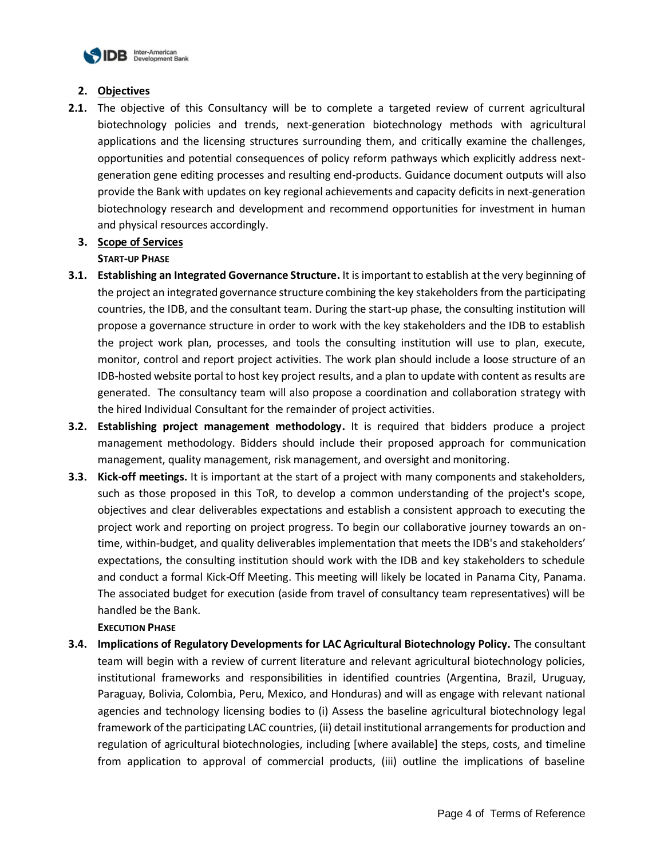

## **2. Objectives**

**2.1.** The objective of this Consultancy will be to complete a targeted review of current agricultural biotechnology policies and trends, next-generation biotechnology methods with agricultural applications and the licensing structures surrounding them, and critically examine the challenges, opportunities and potential consequences of policy reform pathways which explicitly address nextgeneration gene editing processes and resulting end-products. Guidance document outputs will also provide the Bank with updates on key regional achievements and capacity deficits in next-generation biotechnology research and development and recommend opportunities for investment in human and physical resources accordingly.

# **3. Scope of Services**

# **START-UP PHASE**

- **3.1. Establishing an Integrated Governance Structure.** It is important to establish at the very beginning of the project an integrated governance structure combining the key stakeholders from the participating countries, the IDB, and the consultant team. During the start-up phase, the consulting institution will propose a governance structure in order to work with the key stakeholders and the IDB to establish the project work plan, processes, and tools the consulting institution will use to plan, execute, monitor, control and report project activities. The work plan should include a loose structure of an IDB-hosted website portal to host key project results, and a plan to update with content as results are generated. The consultancy team will also propose a coordination and collaboration strategy with the hired Individual Consultant for the remainder of project activities.
- **3.2. Establishing project management methodology.** It is required that bidders produce a project management methodology. Bidders should include their proposed approach for communication management, quality management, risk management, and oversight and monitoring.
- **3.3. Kick-off meetings.** It is important at the start of a project with many components and stakeholders, such as those proposed in this ToR, to develop a common understanding of the project's scope, objectives and clear deliverables expectations and establish a consistent approach to executing the project work and reporting on project progress. To begin our collaborative journey towards an ontime, within-budget, and quality deliverables implementation that meets the IDB's and stakeholders' expectations, the consulting institution should work with the IDB and key stakeholders to schedule and conduct a formal Kick-Off Meeting. This meeting will likely be located in Panama City, Panama. The associated budget for execution (aside from travel of consultancy team representatives) will be handled be the Bank.

**EXECUTION PHASE**

**3.4. Implications of Regulatory Developments for LAC Agricultural Biotechnology Policy.** The consultant team will begin with a review of current literature and relevant agricultural biotechnology policies, institutional frameworks and responsibilities in identified countries (Argentina, Brazil, Uruguay, Paraguay, Bolivia, Colombia, Peru, Mexico, and Honduras) and will as engage with relevant national agencies and technology licensing bodies to (i) Assess the baseline agricultural biotechnology legal framework of the participating LAC countries, (ii) detail institutional arrangements for production and regulation of agricultural biotechnologies, including [where available] the steps, costs, and timeline from application to approval of commercial products, (iii) outline the implications of baseline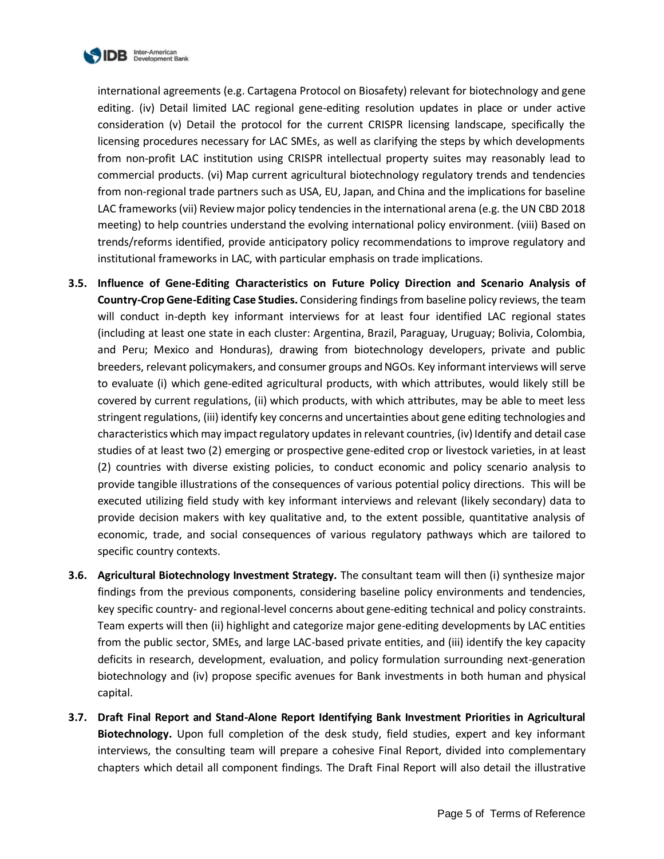

international agreements (e.g. Cartagena Protocol on Biosafety) relevant for biotechnology and gene editing. (iv) Detail limited LAC regional gene-editing resolution updates in place or under active consideration (v) Detail the protocol for the current CRISPR licensing landscape, specifically the licensing procedures necessary for LAC SMEs, as well as clarifying the steps by which developments from non-profit LAC institution using CRISPR intellectual property suites may reasonably lead to commercial products. (vi) Map current agricultural biotechnology regulatory trends and tendencies from non-regional trade partners such as USA, EU, Japan, and China and the implications for baseline LAC frameworks (vii) Review major policy tendencies in the international arena (e.g. the UN CBD 2018 meeting) to help countries understand the evolving international policy environment. (viii) Based on trends/reforms identified, provide anticipatory policy recommendations to improve regulatory and institutional frameworks in LAC, with particular emphasis on trade implications.

- **3.5. Influence of Gene-Editing Characteristics on Future Policy Direction and Scenario Analysis of Country-Crop Gene-Editing Case Studies.** Considering findings from baseline policy reviews, the team will conduct in-depth key informant interviews for at least four identified LAC regional states (including at least one state in each cluster: Argentina, Brazil, Paraguay, Uruguay; Bolivia, Colombia, and Peru; Mexico and Honduras), drawing from biotechnology developers, private and public breeders, relevant policymakers, and consumer groups and NGOs. Key informant interviews will serve to evaluate (i) which gene-edited agricultural products, with which attributes, would likely still be covered by current regulations, (ii) which products, with which attributes, may be able to meet less stringent regulations, (iii) identify key concerns and uncertainties about gene editing technologies and characteristics which may impact regulatory updates in relevant countries, (iv) Identify and detail case studies of at least two (2) emerging or prospective gene-edited crop or livestock varieties, in at least (2) countries with diverse existing policies, to conduct economic and policy scenario analysis to provide tangible illustrations of the consequences of various potential policy directions. This will be executed utilizing field study with key informant interviews and relevant (likely secondary) data to provide decision makers with key qualitative and, to the extent possible, quantitative analysis of economic, trade, and social consequences of various regulatory pathways which are tailored to specific country contexts.
- **3.6. Agricultural Biotechnology Investment Strategy.** The consultant team will then (i) synthesize major findings from the previous components, considering baseline policy environments and tendencies, key specific country- and regional-level concerns about gene-editing technical and policy constraints. Team experts will then (ii) highlight and categorize major gene-editing developments by LAC entities from the public sector, SMEs, and large LAC-based private entities, and (iii) identify the key capacity deficits in research, development, evaluation, and policy formulation surrounding next-generation biotechnology and (iv) propose specific avenues for Bank investments in both human and physical capital.
- **3.7. Draft Final Report and Stand-Alone Report Identifying Bank Investment Priorities in Agricultural Biotechnology.** Upon full completion of the desk study, field studies, expert and key informant interviews, the consulting team will prepare a cohesive Final Report, divided into complementary chapters which detail all component findings. The Draft Final Report will also detail the illustrative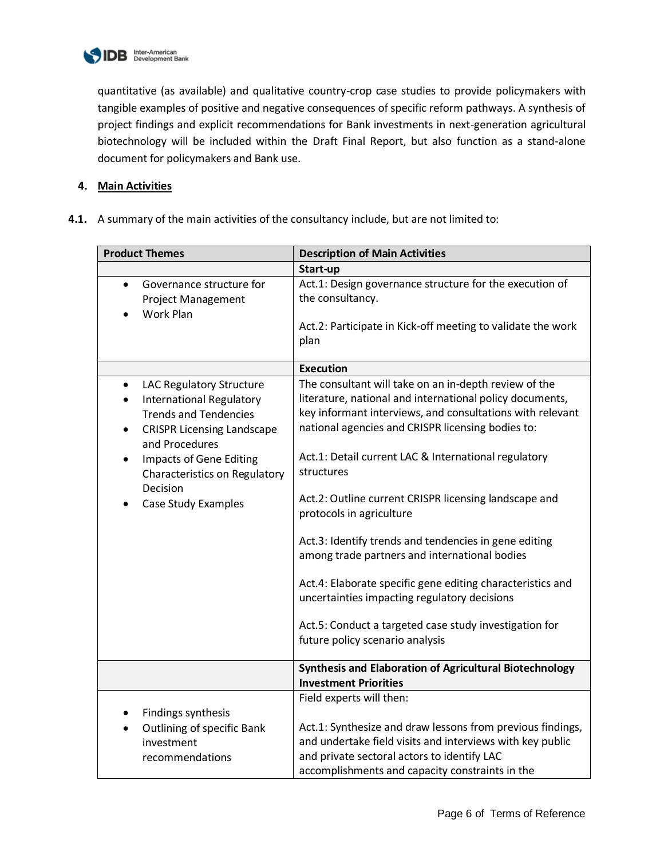

quantitative (as available) and qualitative country-crop case studies to provide policymakers with tangible examples of positive and negative consequences of specific reform pathways. A synthesis of project findings and explicit recommendations for Bank investments in next-generation agricultural biotechnology will be included within the Draft Final Report, but also function as a stand-alone document for policymakers and Bank use.

## **4. Main Activities**

**4.1.** A summary of the main activities of the consultancy include, but are not limited to:

| <b>Product Themes</b>                                                                                                                                                                                                                                                                             | <b>Description of Main Activities</b>                                                                                                                                                                                                                                                                                                                                                                                                                                                                                                                                                                                                                                                                               |  |
|---------------------------------------------------------------------------------------------------------------------------------------------------------------------------------------------------------------------------------------------------------------------------------------------------|---------------------------------------------------------------------------------------------------------------------------------------------------------------------------------------------------------------------------------------------------------------------------------------------------------------------------------------------------------------------------------------------------------------------------------------------------------------------------------------------------------------------------------------------------------------------------------------------------------------------------------------------------------------------------------------------------------------------|--|
|                                                                                                                                                                                                                                                                                                   | Start-up                                                                                                                                                                                                                                                                                                                                                                                                                                                                                                                                                                                                                                                                                                            |  |
| Governance structure for<br>$\bullet$<br><b>Project Management</b><br>Work Plan                                                                                                                                                                                                                   | Act.1: Design governance structure for the execution of<br>the consultancy.<br>Act.2: Participate in Kick-off meeting to validate the work<br>plan                                                                                                                                                                                                                                                                                                                                                                                                                                                                                                                                                                  |  |
|                                                                                                                                                                                                                                                                                                   | <b>Execution</b>                                                                                                                                                                                                                                                                                                                                                                                                                                                                                                                                                                                                                                                                                                    |  |
| LAC Regulatory Structure<br>$\bullet$<br><b>International Regulatory</b><br>٠<br><b>Trends and Tendencies</b><br><b>CRISPR Licensing Landscape</b><br>$\bullet$<br>and Procedures<br><b>Impacts of Gene Editing</b><br>٠<br>Characteristics on Regulatory<br>Decision<br>Case Study Examples<br>٠ | The consultant will take on an in-depth review of the<br>literature, national and international policy documents,<br>key informant interviews, and consultations with relevant<br>national agencies and CRISPR licensing bodies to:<br>Act.1: Detail current LAC & International regulatory<br>structures<br>Act.2: Outline current CRISPR licensing landscape and<br>protocols in agriculture<br>Act.3: Identify trends and tendencies in gene editing<br>among trade partners and international bodies<br>Act.4: Elaborate specific gene editing characteristics and<br>uncertainties impacting regulatory decisions<br>Act.5: Conduct a targeted case study investigation for<br>future policy scenario analysis |  |
|                                                                                                                                                                                                                                                                                                   | <b>Synthesis and Elaboration of Agricultural Biotechnology</b>                                                                                                                                                                                                                                                                                                                                                                                                                                                                                                                                                                                                                                                      |  |
|                                                                                                                                                                                                                                                                                                   | <b>Investment Priorities</b>                                                                                                                                                                                                                                                                                                                                                                                                                                                                                                                                                                                                                                                                                        |  |
| Findings synthesis<br>$\bullet$<br><b>Outlining of specific Bank</b><br>$\bullet$<br>investment<br>recommendations                                                                                                                                                                                | Field experts will then:<br>Act.1: Synthesize and draw lessons from previous findings,<br>and undertake field visits and interviews with key public<br>and private sectoral actors to identify LAC<br>accomplishments and capacity constraints in the                                                                                                                                                                                                                                                                                                                                                                                                                                                               |  |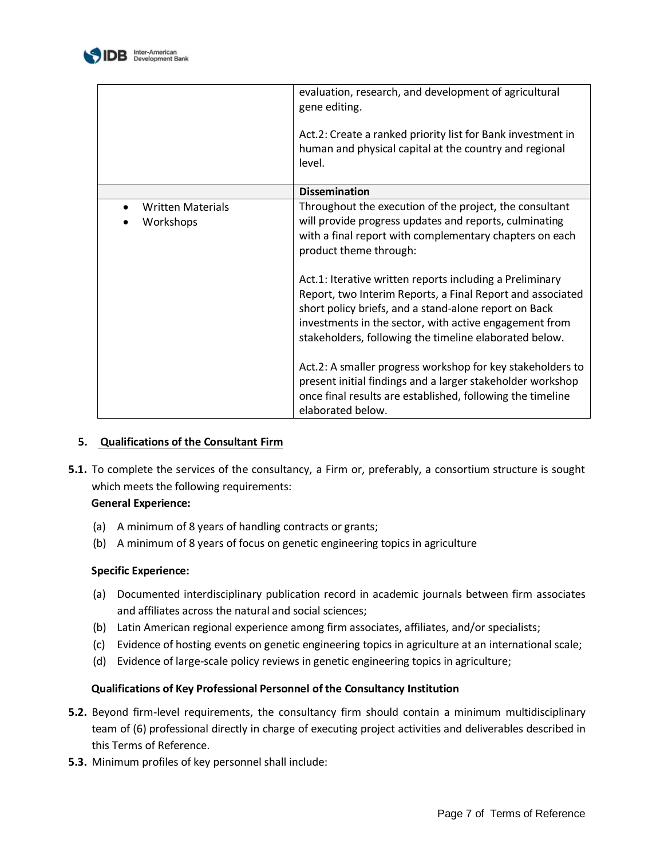

|                                       | evaluation, research, and development of agricultural<br>gene editing.<br>Act.2: Create a ranked priority list for Bank investment in<br>human and physical capital at the country and regional<br>level.                                                                                           |
|---------------------------------------|-----------------------------------------------------------------------------------------------------------------------------------------------------------------------------------------------------------------------------------------------------------------------------------------------------|
|                                       | <b>Dissemination</b>                                                                                                                                                                                                                                                                                |
| <b>Written Materials</b><br>Workshops | Throughout the execution of the project, the consultant<br>will provide progress updates and reports, culminating<br>with a final report with complementary chapters on each<br>product theme through:                                                                                              |
|                                       | Act.1: Iterative written reports including a Preliminary<br>Report, two Interim Reports, a Final Report and associated<br>short policy briefs, and a stand-alone report on Back<br>investments in the sector, with active engagement from<br>stakeholders, following the timeline elaborated below. |
|                                       | Act.2: A smaller progress workshop for key stakeholders to<br>present initial findings and a larger stakeholder workshop<br>once final results are established, following the timeline<br>elaborated below.                                                                                         |

## **5. Qualifications of the Consultant Firm**

**5.1.** To complete the services of the consultancy, a Firm or, preferably, a consortium structure is sought which meets the following requirements:

## **General Experience:**

- (a) A minimum of 8 years of handling contracts or grants;
- (b) A minimum of 8 years of focus on genetic engineering topics in agriculture

## **Specific Experience:**

- (a) Documented interdisciplinary publication record in academic journals between firm associates and affiliates across the natural and social sciences;
- (b) Latin American regional experience among firm associates, affiliates, and/or specialists;
- (c) Evidence of hosting events on genetic engineering topics in agriculture at an international scale;
- (d) Evidence of large-scale policy reviews in genetic engineering topics in agriculture;

## **Qualifications of Key Professional Personnel of the Consultancy Institution**

- **5.2.** Beyond firm-level requirements, the consultancy firm should contain a minimum multidisciplinary team of (6) professional directly in charge of executing project activities and deliverables described in this Terms of Reference.
- **5.3.** Minimum profiles of key personnel shall include: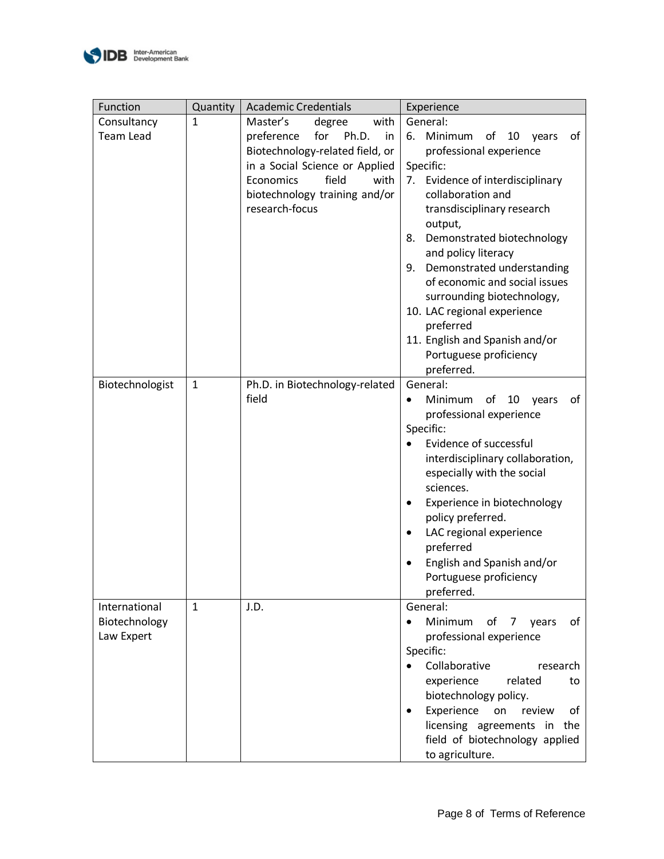

| Function                                     | Quantity     | <b>Academic Credentials</b>                                                                                                                                                                                          | Experience                                                                                                                                                                                                                                                                                                                                                                                                                                                                         |
|----------------------------------------------|--------------|----------------------------------------------------------------------------------------------------------------------------------------------------------------------------------------------------------------------|------------------------------------------------------------------------------------------------------------------------------------------------------------------------------------------------------------------------------------------------------------------------------------------------------------------------------------------------------------------------------------------------------------------------------------------------------------------------------------|
| Consultancy<br><b>Team Lead</b>              | $\mathbf{1}$ | Master's<br>with<br>degree<br>Ph.D.<br>preference<br>for<br>in<br>Biotechnology-related field, or<br>in a Social Science or Applied<br>Economics<br>field<br>with<br>biotechnology training and/or<br>research-focus | General:<br>6. Minimum<br>of<br>10<br>of<br>years<br>professional experience<br>Specific:<br>Evidence of interdisciplinary<br>7.<br>collaboration and<br>transdisciplinary research<br>output,<br>Demonstrated biotechnology<br>8.<br>and policy literacy<br>Demonstrated understanding<br>9.<br>of economic and social issues<br>surrounding biotechnology,<br>10. LAC regional experience<br>preferred<br>11. English and Spanish and/or<br>Portuguese proficiency<br>preferred. |
| Biotechnologist                              | $\mathbf{1}$ | Ph.D. in Biotechnology-related<br>field                                                                                                                                                                              | General:<br>Minimum<br>of<br>of<br>10<br>years<br>professional experience<br>Specific:<br>Evidence of successful<br>interdisciplinary collaboration,<br>especially with the social<br>sciences.<br>Experience in biotechnology<br>٠<br>policy preferred.<br>LAC regional experience<br>$\bullet$<br>preferred<br>English and Spanish and/or<br>Portuguese proficiency<br>preferred.                                                                                                |
| International<br>Biotechnology<br>Law Expert | $\mathbf{1}$ | J.D.                                                                                                                                                                                                                 | General:<br>Minimum<br>of 7 years<br>of<br>$\bullet$<br>professional experience<br>Specific:<br>Collaborative<br>research<br>experience<br>related<br>to<br>biotechnology policy.<br>Experience<br>on<br>review<br>οf<br>$\bullet$<br>licensing agreements in the<br>field of biotechnology applied<br>to agriculture.                                                                                                                                                             |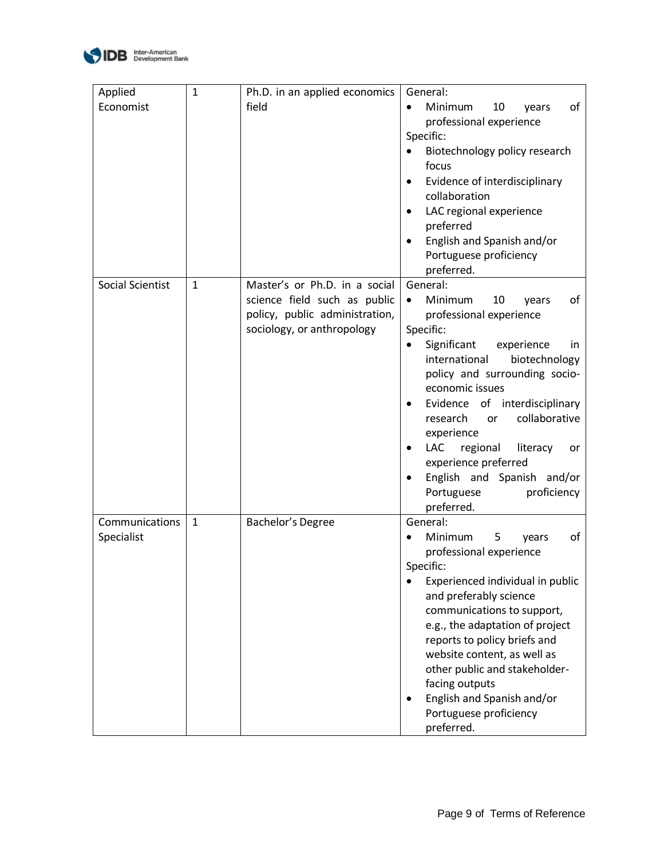

| Applied<br>Economist         | $\mathbf{1}$ | Ph.D. in an applied economics<br>field                                                                                        | General:<br>Minimum<br>10<br>of<br>$\bullet$<br>years<br>professional experience<br>Specific:<br>Biotechnology policy research<br>$\bullet$<br>focus<br>Evidence of interdisciplinary<br>٠<br>collaboration<br>LAC regional experience<br>$\bullet$<br>preferred<br>English and Spanish and/or<br>Portuguese proficiency                                                                                                                                                  |
|------------------------------|--------------|-------------------------------------------------------------------------------------------------------------------------------|---------------------------------------------------------------------------------------------------------------------------------------------------------------------------------------------------------------------------------------------------------------------------------------------------------------------------------------------------------------------------------------------------------------------------------------------------------------------------|
| Social Scientist             | $\mathbf{1}$ | Master's or Ph.D. in a social<br>science field such as public<br>policy, public administration,<br>sociology, or anthropology | preferred.<br>General:<br>Minimum<br>10<br>οf<br>years<br>٠<br>professional experience<br>Specific:<br>Significant<br>experience<br>in<br>$\bullet$<br>international<br>biotechnology<br>policy and surrounding socio-<br>economic issues<br>of interdisciplinary<br>Evidence<br>٠<br>collaborative<br>research<br><b>or</b><br>experience<br><b>LAC</b><br>regional<br>literacy<br>or<br>experience preferred<br>English and Spanish and/or<br>Portuguese<br>proficiency |
| Communications<br>Specialist | $\mathbf{1}$ | Bachelor's Degree                                                                                                             | preferred.<br>General:<br>5<br>of<br>Minimum<br>years<br>$\bullet$<br>professional experience<br>Specific:<br>Experienced individual in public<br>$\bullet$<br>and preferably science<br>communications to support,<br>e.g., the adaptation of project<br>reports to policy briefs and<br>website content, as well as<br>other public and stakeholder-<br>facing outputs<br>English and Spanish and/or<br>$\bullet$<br>Portuguese proficiency<br>preferred.               |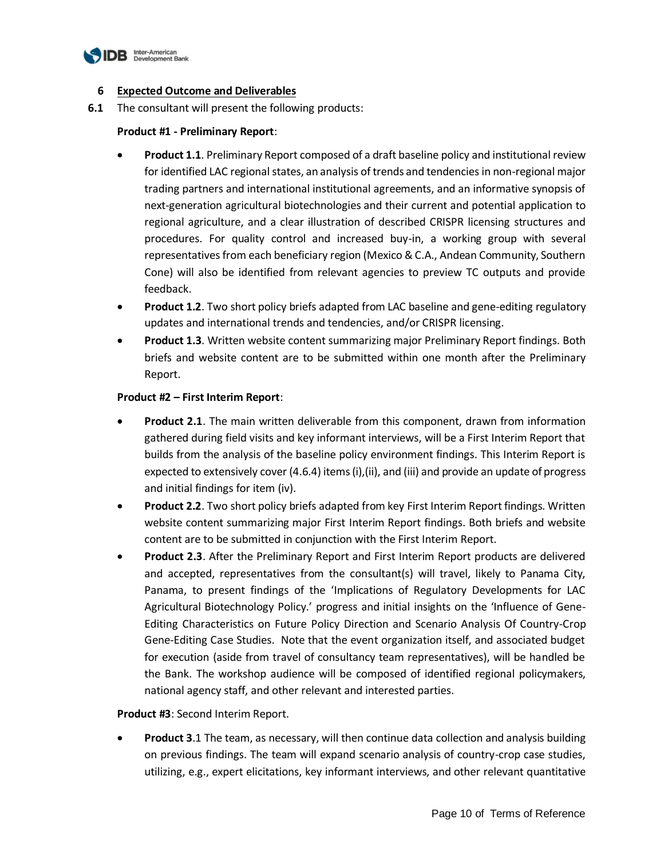

#### **6 Expected Outcome and Deliverables**

**6.1** The consultant will present the following products:

#### **Product #1 - Preliminary Report**:

- **Product 1.1**. Preliminary Report composed of a draft baseline policy and institutional review for identified LAC regional states, an analysis of trends and tendencies in non-regional major trading partners and international institutional agreements, and an informative synopsis of next-generation agricultural biotechnologies and their current and potential application to regional agriculture, and a clear illustration of described CRISPR licensing structures and procedures. For quality control and increased buy-in, a working group with several representatives from each beneficiary region (Mexico & C.A., Andean Community, Southern Cone) will also be identified from relevant agencies to preview TC outputs and provide feedback.
- **Product 1.2**. Two short policy briefs adapted from LAC baseline and gene-editing regulatory updates and international trends and tendencies, and/or CRISPR licensing.
- **Product 1.3**. Written website content summarizing major Preliminary Report findings. Both briefs and website content are to be submitted within one month after the Preliminary Report.

#### **Product #2 – First Interim Report**:

- **Product 2.1**. The main written deliverable from this component, drawn from information gathered during field visits and key informant interviews, will be a First Interim Report that builds from the analysis of the baseline policy environment findings. This Interim Report is expected to extensively cover (4.6.4) items (i),(ii), and (iii) and provide an update of progress and initial findings for item (iv).
- **Product 2.2**. Two short policy briefs adapted from key First Interim Report findings. Written website content summarizing major First Interim Report findings. Both briefs and website content are to be submitted in conjunction with the First Interim Report.
- **Product 2.3**. After the Preliminary Report and First Interim Report products are delivered and accepted, representatives from the consultant(s) will travel, likely to Panama City, Panama, to present findings of the 'Implications of Regulatory Developments for LAC Agricultural Biotechnology Policy.' progress and initial insights on the 'Influence of Gene-Editing Characteristics on Future Policy Direction and Scenario Analysis Of Country-Crop Gene-Editing Case Studies. Note that the event organization itself, and associated budget for execution (aside from travel of consultancy team representatives), will be handled be the Bank. The workshop audience will be composed of identified regional policymakers, national agency staff, and other relevant and interested parties.

#### **Product #3**: Second Interim Report.

 **Product 3**.1 The team, as necessary, will then continue data collection and analysis building on previous findings. The team will expand scenario analysis of country-crop case studies, utilizing, e.g., expert elicitations, key informant interviews, and other relevant quantitative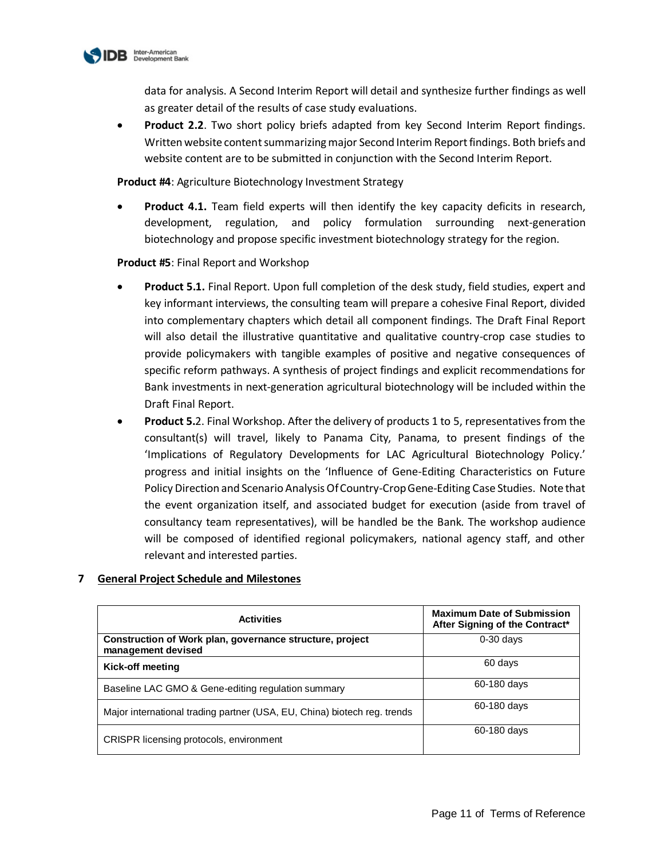

data for analysis. A Second Interim Report will detail and synthesize further findings as well as greater detail of the results of case study evaluations.

 **Product 2.2**. Two short policy briefs adapted from key Second Interim Report findings. Written website content summarizing major Second Interim Report findings. Both briefs and website content are to be submitted in conjunction with the Second Interim Report.

**Product #4**: Agriculture Biotechnology Investment Strategy

 **Product 4.1.** Team field experts will then identify the key capacity deficits in research, development, regulation, and policy formulation surrounding next-generation biotechnology and propose specific investment biotechnology strategy for the region.

**Product #5**: Final Report and Workshop

- **Product 5.1.** Final Report. Upon full completion of the desk study, field studies, expert and key informant interviews, the consulting team will prepare a cohesive Final Report, divided into complementary chapters which detail all component findings. The Draft Final Report will also detail the illustrative quantitative and qualitative country-crop case studies to provide policymakers with tangible examples of positive and negative consequences of specific reform pathways. A synthesis of project findings and explicit recommendations for Bank investments in next-generation agricultural biotechnology will be included within the Draft Final Report.
- **Product 5.**2. Final Workshop. After the delivery of products 1 to 5, representatives from the consultant(s) will travel, likely to Panama City, Panama, to present findings of the 'Implications of Regulatory Developments for LAC Agricultural Biotechnology Policy.' progress and initial insights on the 'Influence of Gene-Editing Characteristics on Future Policy Direction and Scenario Analysis Of Country-Crop Gene-Editing Case Studies. Note that the event organization itself, and associated budget for execution (aside from travel of consultancy team representatives), will be handled be the Bank. The workshop audience will be composed of identified regional policymakers, national agency staff, and other relevant and interested parties.

## **7 General Project Schedule and Milestones**

| <b>Activities</b>                                                              | <b>Maximum Date of Submission</b><br>After Signing of the Contract* |
|--------------------------------------------------------------------------------|---------------------------------------------------------------------|
| Construction of Work plan, governance structure, project<br>management devised | $0-30$ days                                                         |
| Kick-off meeting                                                               | 60 days                                                             |
| Baseline LAC GMO & Gene-editing regulation summary                             | 60-180 days                                                         |
| Major international trading partner (USA, EU, China) biotech reg. trends       | 60-180 days                                                         |
| <b>CRISPR licensing protocols, environment</b>                                 | 60-180 days                                                         |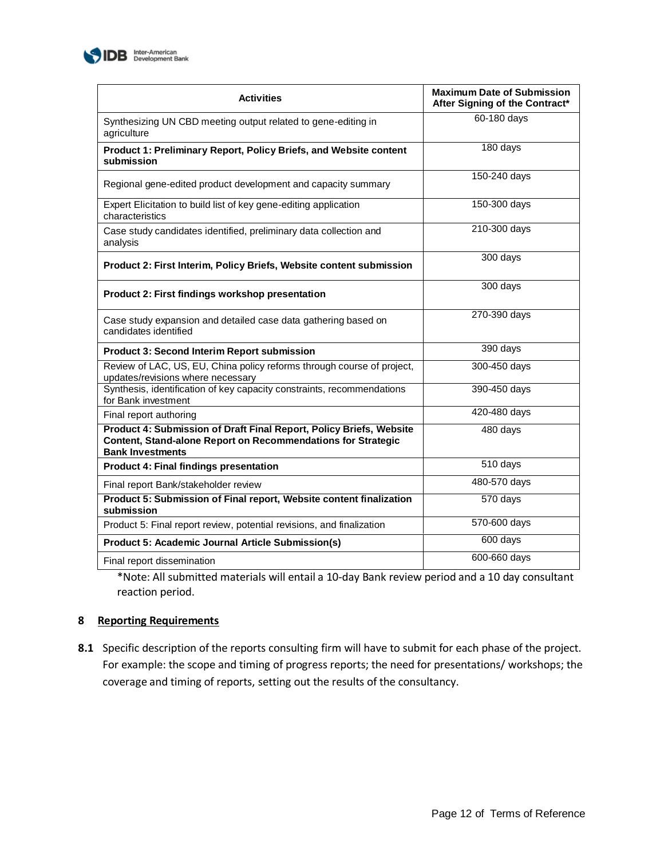

| <b>Activities</b>                                                                                                                                              | <b>Maximum Date of Submission</b><br>After Signing of the Contract* |
|----------------------------------------------------------------------------------------------------------------------------------------------------------------|---------------------------------------------------------------------|
| Synthesizing UN CBD meeting output related to gene-editing in<br>agriculture                                                                                   | 60-180 days                                                         |
| Product 1: Preliminary Report, Policy Briefs, and Website content<br>submission                                                                                | 180 days                                                            |
| Regional gene-edited product development and capacity summary                                                                                                  | 150-240 days                                                        |
| Expert Elicitation to build list of key gene-editing application<br>characteristics                                                                            | 150-300 days                                                        |
| Case study candidates identified, preliminary data collection and<br>analysis                                                                                  | 210-300 days                                                        |
| Product 2: First Interim, Policy Briefs, Website content submission                                                                                            | 300 days                                                            |
| Product 2: First findings workshop presentation                                                                                                                | 300 days                                                            |
| Case study expansion and detailed case data gathering based on<br>candidates identified                                                                        | 270-390 days                                                        |
| <b>Product 3: Second Interim Report submission</b>                                                                                                             | 390 days                                                            |
| Review of LAC, US, EU, China policy reforms through course of project,<br>updates/revisions where necessary                                                    | 300-450 days                                                        |
| Synthesis, identification of key capacity constraints, recommendations<br>for Bank investment                                                                  | 390-450 days                                                        |
| Final report authoring                                                                                                                                         | 420-480 days                                                        |
| Product 4: Submission of Draft Final Report, Policy Briefs, Website<br>Content, Stand-alone Report on Recommendations for Strategic<br><b>Bank Investments</b> | 480 days                                                            |
| <b>Product 4: Final findings presentation</b>                                                                                                                  | 510 days                                                            |
| Final report Bank/stakeholder review                                                                                                                           | 480-570 days                                                        |
| Product 5: Submission of Final report, Website content finalization<br>submission                                                                              | 570 days                                                            |
| Product 5: Final report review, potential revisions, and finalization                                                                                          | 570-600 days                                                        |
| <b>Product 5: Academic Journal Article Submission(s)</b>                                                                                                       | 600 days                                                            |
| Final report dissemination                                                                                                                                     | 600-660 days                                                        |

\*Note: All submitted materials will entail a 10-day Bank review period and a 10 day consultant reaction period.

## **8 Reporting Requirements**

**8.1** Specific description of the reports consulting firm will have to submit for each phase of the project. For example: the scope and timing of progress reports; the need for presentations/ workshops; the coverage and timing of reports, setting out the results of the consultancy.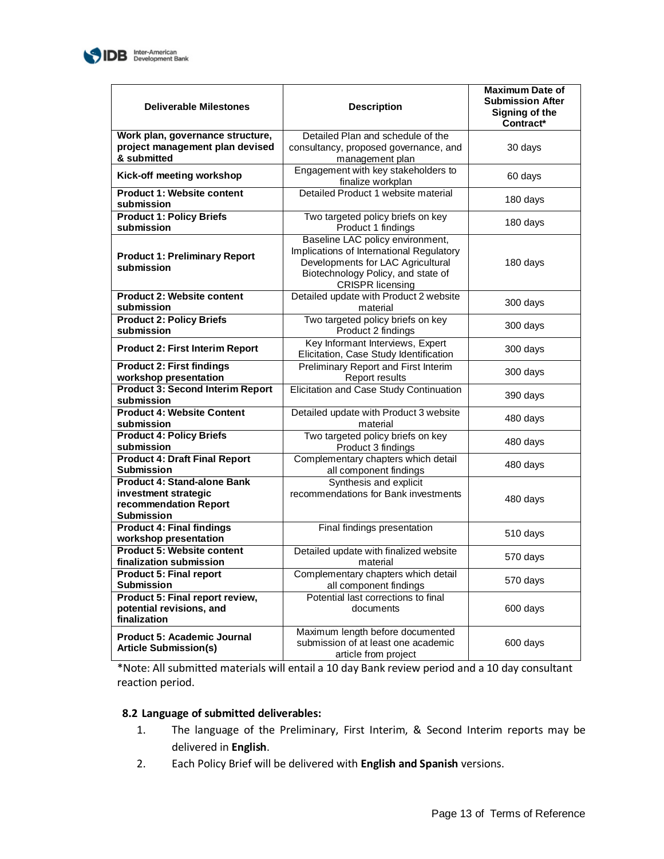

| <b>Deliverable Milestones</b>                                                                            | <b>Description</b>                                                                                                                                                                 | <b>Maximum Date of</b><br><b>Submission After</b><br>Signing of the<br>Contract* |
|----------------------------------------------------------------------------------------------------------|------------------------------------------------------------------------------------------------------------------------------------------------------------------------------------|----------------------------------------------------------------------------------|
| Work plan, governance structure,<br>project management plan devised<br>& submitted                       | Detailed Plan and schedule of the<br>consultancy, proposed governance, and<br>management plan                                                                                      | 30 days                                                                          |
| Kick-off meeting workshop                                                                                | Engagement with key stakeholders to<br>finalize workplan                                                                                                                           | 60 days                                                                          |
| <b>Product 1: Website content</b><br>submission                                                          | Detailed Product 1 website material                                                                                                                                                | 180 days                                                                         |
| <b>Product 1: Policy Briefs</b><br>submission                                                            | Two targeted policy briefs on key<br>Product 1 findings                                                                                                                            | 180 days                                                                         |
| <b>Product 1: Preliminary Report</b><br>submission                                                       | Baseline LAC policy environment,<br>Implications of International Regulatory<br>Developments for LAC Agricultural<br>Biotechnology Policy, and state of<br><b>CRISPR</b> licensing | 180 days                                                                         |
| <b>Product 2: Website content</b><br>submission                                                          | Detailed update with Product 2 website<br>material                                                                                                                                 | 300 days                                                                         |
| <b>Product 2: Policy Briefs</b><br>submission                                                            | Two targeted policy briefs on key<br>Product 2 findings                                                                                                                            | 300 days                                                                         |
| <b>Product 2: First Interim Report</b>                                                                   | Key Informant Interviews, Expert<br>Elicitation, Case Study Identification                                                                                                         | 300 days                                                                         |
| <b>Product 2: First findings</b><br>workshop presentation                                                | Preliminary Report and First Interim<br>Report results                                                                                                                             | 300 days                                                                         |
| <b>Product 3: Second Interim Report</b><br>submission                                                    | Elicitation and Case Study Continuation                                                                                                                                            | 390 days                                                                         |
| <b>Product 4: Website Content</b><br>submission                                                          | Detailed update with Product 3 website<br>material                                                                                                                                 | 480 days                                                                         |
| <b>Product 4: Policy Briefs</b><br>submission                                                            | Two targeted policy briefs on key<br>Product 3 findings                                                                                                                            | 480 days                                                                         |
| <b>Product 4: Draft Final Report</b><br><b>Submission</b>                                                | Complementary chapters which detail<br>all component findings                                                                                                                      | 480 days                                                                         |
| <b>Product 4: Stand-alone Bank</b><br>investment strategic<br>recommendation Report<br><b>Submission</b> | Synthesis and explicit<br>recommendations for Bank investments                                                                                                                     | 480 days                                                                         |
| <b>Product 4: Final findings</b><br>workshop presentation                                                | Final findings presentation                                                                                                                                                        | 510 days                                                                         |
| <b>Product 5: Website content</b><br>finalization submission                                             | Detailed update with finalized website<br>material                                                                                                                                 | 570 days                                                                         |
| <b>Product 5: Final report</b><br><b>Submission</b>                                                      | Complementary chapters which detail<br>all component findings                                                                                                                      | 570 days                                                                         |
| Product 5: Final report review,<br>potential revisions, and<br>finalization                              | Potential last corrections to final<br>documents                                                                                                                                   | 600 days                                                                         |
| Product 5: Academic Journal<br><b>Article Submission(s)</b>                                              | Maximum length before documented<br>submission of at least one academic<br>article from project                                                                                    | 600 days                                                                         |

\*Note: All submitted materials will entail a 10 day Bank review period and a 10 day consultant reaction period.

## **8.2 Language of submitted deliverables:**

- 1. The language of the Preliminary, First Interim, & Second Interim reports may be delivered in **English**.
- 2. Each Policy Brief will be delivered with **English and Spanish** versions.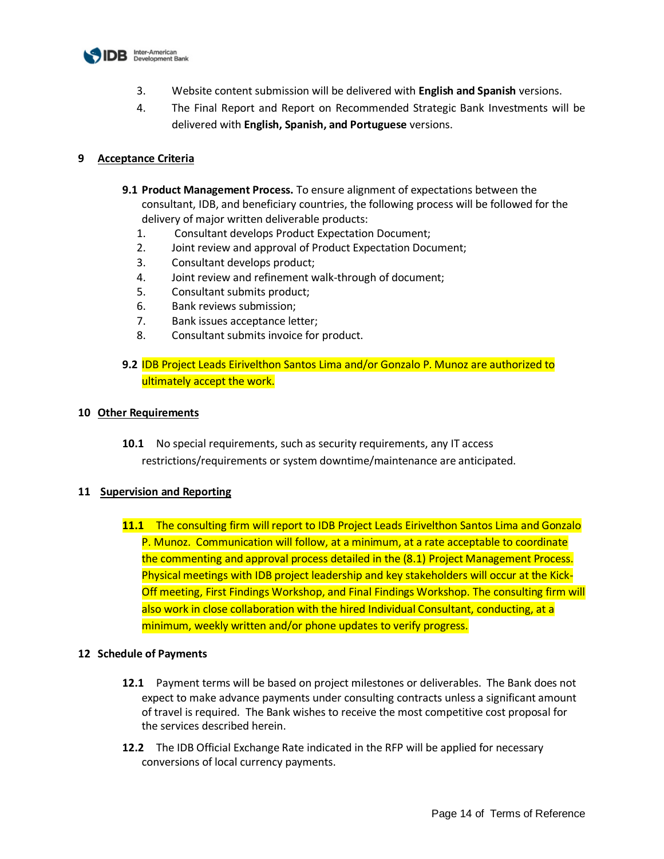

- 3. Website content submission will be delivered with **English and Spanish** versions.
- 4. The Final Report and Report on Recommended Strategic Bank Investments will be delivered with **English, Spanish, and Portuguese** versions.

#### **9 Acceptance Criteria**

- **9.1 Product Management Process.** To ensure alignment of expectations between the consultant, IDB, and beneficiary countries, the following process will be followed for the delivery of major written deliverable products:
	- 1. Consultant develops Product Expectation Document;
	- 2. Joint review and approval of Product Expectation Document;
	- 3. Consultant develops product;
	- 4. Joint review and refinement walk-through of document;
	- 5. Consultant submits product;
	- 6. Bank reviews submission;
	- 7. Bank issues acceptance letter;
	- 8. Consultant submits invoice for product.
- **9.2** IDB Project Leads Eirivelthon Santos Lima and/or Gonzalo P. Munoz are authorized to ultimately accept the work.

#### **10 Other Requirements**

**10.1** No special requirements, such as security requirements, any IT access restrictions/requirements or system downtime/maintenance are anticipated.

#### **11 Supervision and Reporting**

**11.1** The consulting firm will report to IDB Project Leads Eirivelthon Santos Lima and Gonzalo P. Munoz. Communication will follow, at a minimum, at a rate acceptable to coordinate the commenting and approval process detailed in the (8.1) Project Management Process. Physical meetings with IDB project leadership and key stakeholders will occur at the Kick-Off meeting, First Findings Workshop, and Final Findings Workshop. The consulting firm will also work in close collaboration with the hired Individual Consultant, conducting, at a minimum, weekly written and/or phone updates to verify progress.

#### **12 Schedule of Payments**

- **12.1** Payment terms will be based on project milestones or deliverables. The Bank does not expect to make advance payments under consulting contracts unless a significant amount of travel is required. The Bank wishes to receive the most competitive cost proposal for the services described herein.
- **12.2** The IDB Official Exchange Rate indicated in the RFP will be applied for necessary conversions of local currency payments.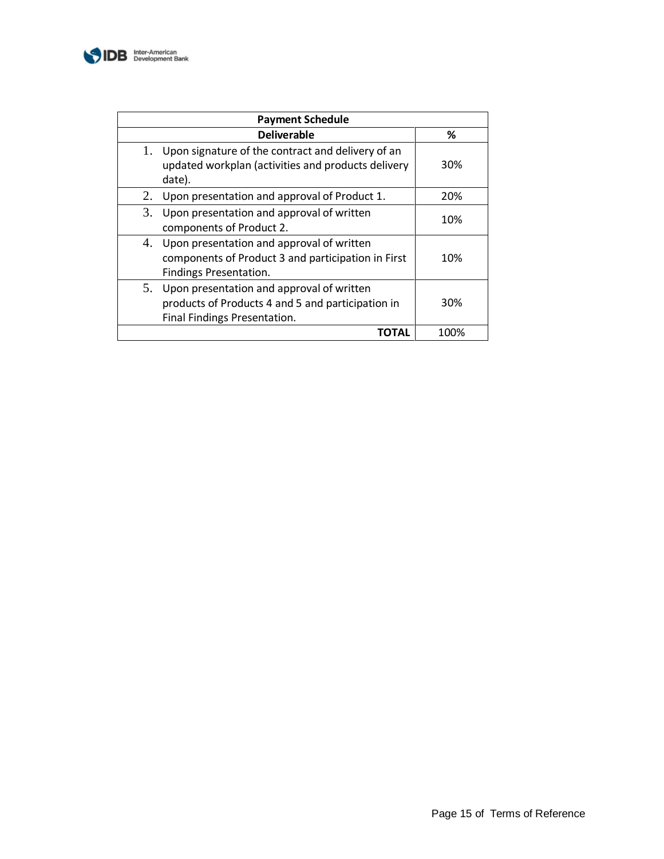

| <b>Payment Schedule</b>                                                                                                                |      |  |
|----------------------------------------------------------------------------------------------------------------------------------------|------|--|
| <b>Deliverable</b>                                                                                                                     | ℅    |  |
| Upon signature of the contract and delivery of an<br>1.<br>updated workplan (activities and products delivery<br>date).                | 30%  |  |
| Upon presentation and approval of Product 1.<br>2.                                                                                     | 20%  |  |
| Upon presentation and approval of written<br>3.<br>components of Product 2.                                                            | 10%  |  |
| Upon presentation and approval of written<br>4.<br>components of Product 3 and participation in First<br><b>Findings Presentation.</b> | 10%  |  |
| Upon presentation and approval of written<br>5.<br>products of Products 4 and 5 and participation in<br>Final Findings Presentation.   | 30%  |  |
| TOTAL                                                                                                                                  | 100% |  |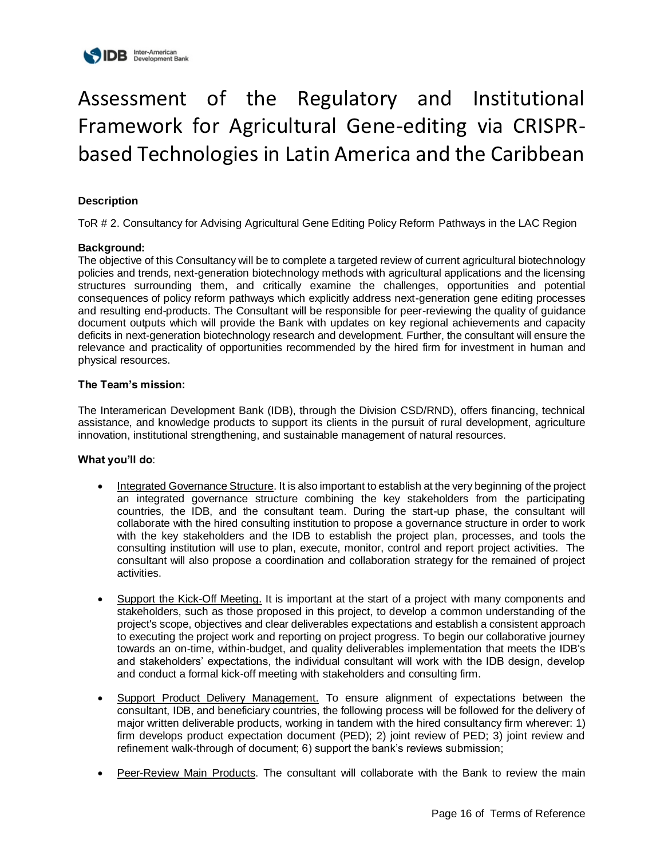

# Assessment of the Regulatory and Institutional Framework for Agricultural Gene-editing via CRISPRbased Technologies in Latin America and the Caribbean

## **Description**

ToR # 2. Consultancy for Advising Agricultural Gene Editing Policy Reform Pathways in the LAC Region

#### **Background:**

The objective of this Consultancy will be to complete a targeted review of current agricultural biotechnology policies and trends, next-generation biotechnology methods with agricultural applications and the licensing structures surrounding them, and critically examine the challenges, opportunities and potential consequences of policy reform pathways which explicitly address next-generation gene editing processes and resulting end-products. The Consultant will be responsible for peer-reviewing the quality of guidance document outputs which will provide the Bank with updates on key regional achievements and capacity deficits in next-generation biotechnology research and development. Further, the consultant will ensure the relevance and practicality of opportunities recommended by the hired firm for investment in human and physical resources.

#### **The Team's mission:**

The Interamerican Development Bank (IDB), through the Division CSD/RND), offers financing, technical assistance, and knowledge products to support its clients in the pursuit of rural development, agriculture innovation, institutional strengthening, and sustainable management of natural resources.

#### **What you'll do**:

- Integrated Governance Structure. It is also important to establish at the very beginning of the project an integrated governance structure combining the key stakeholders from the participating countries, the IDB, and the consultant team. During the start-up phase, the consultant will collaborate with the hired consulting institution to propose a governance structure in order to work with the key stakeholders and the IDB to establish the project plan, processes, and tools the consulting institution will use to plan, execute, monitor, control and report project activities. The consultant will also propose a coordination and collaboration strategy for the remained of project activities.
- Support the Kick-Off Meeting. It is important at the start of a project with many components and stakeholders, such as those proposed in this project, to develop a common understanding of the project's scope, objectives and clear deliverables expectations and establish a consistent approach to executing the project work and reporting on project progress. To begin our collaborative journey towards an on-time, within-budget, and quality deliverables implementation that meets the IDB's and stakeholders' expectations, the individual consultant will work with the IDB design, develop and conduct a formal kick-off meeting with stakeholders and consulting firm.
- Support Product Delivery Management. To ensure alignment of expectations between the consultant, IDB, and beneficiary countries, the following process will be followed for the delivery of major written deliverable products, working in tandem with the hired consultancy firm wherever: 1) firm develops product expectation document (PED); 2) joint review of PED; 3) joint review and refinement walk-through of document; 6) support the bank's reviews submission;
- Peer-Review Main Products. The consultant will collaborate with the Bank to review the main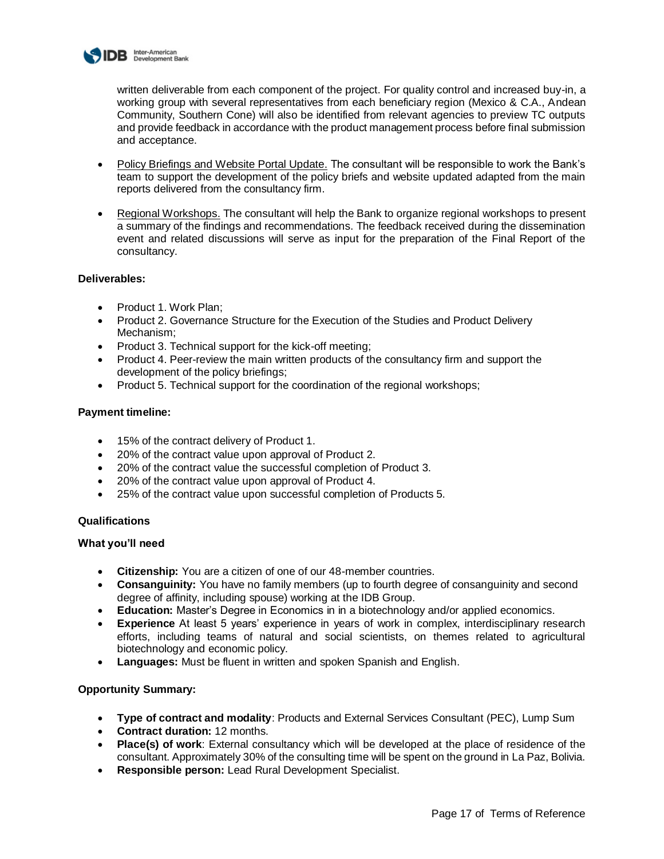

written deliverable from each component of the project. For quality control and increased buy-in, a working group with several representatives from each beneficiary region (Mexico & C.A., Andean Community, Southern Cone) will also be identified from relevant agencies to preview TC outputs and provide feedback in accordance with the product management process before final submission and acceptance.

- Policy Briefings and Website Portal Update. The consultant will be responsible to work the Bank's team to support the development of the policy briefs and website updated adapted from the main reports delivered from the consultancy firm.
- Regional Workshops. The consultant will help the Bank to organize regional workshops to present a summary of the findings and recommendations. The feedback received during the dissemination event and related discussions will serve as input for the preparation of the Final Report of the consultancy.

#### **Deliverables:**

- Product 1. Work Plan;
- Product 2. Governance Structure for the Execution of the Studies and Product Delivery Mechanism;
- Product 3. Technical support for the kick-off meeting;
- Product 4. Peer-review the main written products of the consultancy firm and support the development of the policy briefings;
- Product 5. Technical support for the coordination of the regional workshops;

#### **Payment timeline:**

- 15% of the contract delivery of Product 1.
- 20% of the contract value upon approval of Product 2.
- 20% of the contract value the successful completion of Product 3.
- 20% of the contract value upon approval of Product 4.
- 25% of the contract value upon successful completion of Products 5.

#### **Qualifications**

#### **What you'll need**

- **Citizenship:** You are a citizen of one of our 48-member countries.
- **Consanguinity:** You have no family members (up to fourth degree of consanguinity and second degree of affinity, including spouse) working at the IDB Group.
- **Education:** Master's Degree in Economics in in a biotechnology and/or applied economics.
- **Experience** At least 5 years' experience in years of work in complex, interdisciplinary research efforts, including teams of natural and social scientists, on themes related to agricultural biotechnology and economic policy.
- **Languages:** Must be fluent in written and spoken Spanish and English.

## **Opportunity Summary:**

- **Type of contract and modality**: Products and External Services Consultant (PEC), Lump Sum
- **Contract duration:** 12 months.
- **Place(s) of work**: External consultancy which will be developed at the place of residence of the consultant. Approximately 30% of the consulting time will be spent on the ground in La Paz, Bolivia.
- **Responsible person:** Lead Rural Development Specialist.